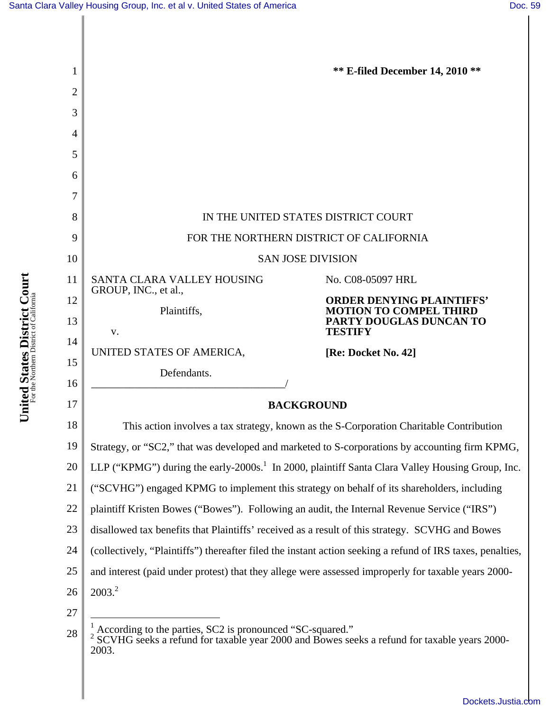

United States District Court **United States District Court** For the Northern District of California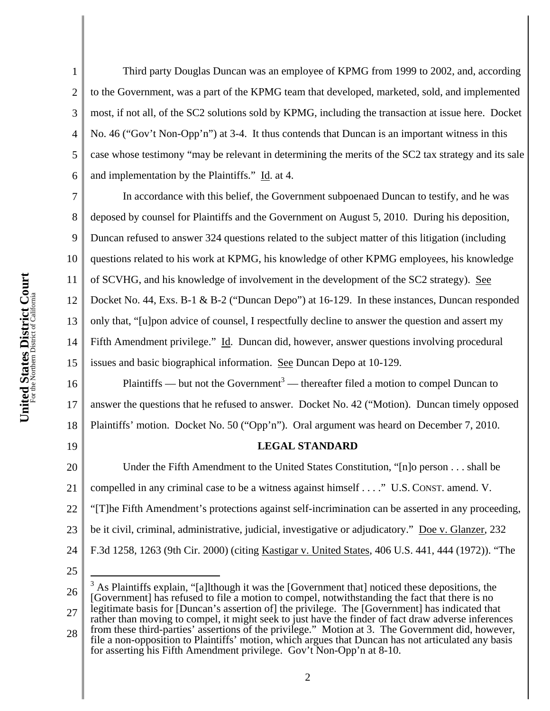United States District Court **United States District Court** For the Northern District of California

1 2 3 4 5 6 Third party Douglas Duncan was an employee of KPMG from 1999 to 2002, and, according to the Government, was a part of the KPMG team that developed, marketed, sold, and implemented most, if not all, of the SC2 solutions sold by KPMG, including the transaction at issue here. Docket No. 46 ("Gov't Non-Opp'n") at 3-4. It thus contends that Duncan is an important witness in this case whose testimony "may be relevant in determining the merits of the SC2 tax strategy and its sale and implementation by the Plaintiffs." Id. at 4.

7 8 9 10 11 12 13 14 15 In accordance with this belief, the Government subpoenaed Duncan to testify, and he was deposed by counsel for Plaintiffs and the Government on August 5, 2010. During his deposition, Duncan refused to answer 324 questions related to the subject matter of this litigation (including questions related to his work at KPMG, his knowledge of other KPMG employees, his knowledge of SCVHG, and his knowledge of involvement in the development of the SC2 strategy). See Docket No. 44, Exs. B-1 & B-2 ("Duncan Depo") at 16-129. In these instances, Duncan responded only that, "[u]pon advice of counsel, I respectfully decline to answer the question and assert my Fifth Amendment privilege." Id. Duncan did, however, answer questions involving procedural issues and basic biographical information. See Duncan Depo at 10-129.

16 17 18 Plaintiffs — but not the Government<sup>3</sup> — thereafter filed a motion to compel Duncan to answer the questions that he refused to answer. Docket No. 42 ("Motion). Duncan timely opposed Plaintiffs' motion. Docket No. 50 ("Opp'n"). Oral argument was heard on December 7, 2010.

## **LEGAL STANDARD**

20 21 22 23 24 Under the Fifth Amendment to the United States Constitution, "[n]o person . . . shall be compelled in any criminal case to be a witness against himself . . . ." U.S. CONST. amend. V. "[T]he Fifth Amendment's protections against self-incrimination can be asserted in any proceeding, be it civil, criminal, administrative, judicial, investigative or adjudicatory." Doe v. Glanzer, 232 F.3d 1258, 1263 (9th Cir. 2000) (citing Kastigar v. United States, 406 U.S. 441, 444 (1972)). "The

25

 $\overline{a}$ 

19

28 from these third-parties' assertions of the privilege." Motion at 3. The Government did, however, file a non-opposition to Plaintiffs' motion, which argues that Duncan has not articulated any basis for asserting his Fifth Amendment privilege. Gov't Non-Opp'n at 8-10.

<sup>26</sup> 27 3 As Plaintiffs explain, "[a]lthough it was the [Government that] noticed these depositions, the [Government] has refused to file a motion to compel, notwithstanding the fact that there is no legitimate basis for [Duncan's assertion of] the privilege. The [Government] has indicated that rather than moving to compel, it might seek to just have the finder of fact draw adverse inferences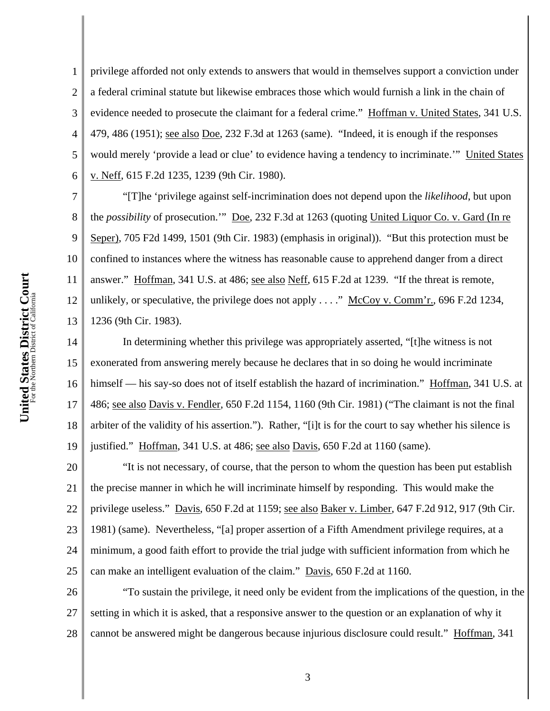1 2 3 4 5 6 privilege afforded not only extends to answers that would in themselves support a conviction under a federal criminal statute but likewise embraces those which would furnish a link in the chain of evidence needed to prosecute the claimant for a federal crime." Hoffman v. United States, 341 U.S. 479, 486 (1951); see also Doe, 232 F.3d at 1263 (same). "Indeed, it is enough if the responses would merely 'provide a lead or clue' to evidence having a tendency to incriminate.'" United States v. Neff, 615 F.2d 1235, 1239 (9th Cir. 1980).

"[T]he 'privilege against self-incrimination does not depend upon the *likelihood*, but upon the *possibility* of prosecution.'" Doe, 232 F.3d at 1263 (quoting United Liquor Co. v. Gard (In re Seper), 705 F2d 1499, 1501 (9th Cir. 1983) (emphasis in original)). "But this protection must be confined to instances where the witness has reasonable cause to apprehend danger from a direct answer." Hoffman, 341 U.S. at 486; see also Neff, 615 F.2d at 1239. "If the threat is remote, unlikely, or speculative, the privilege does not apply . . . ." McCoy v. Comm'r., 696 F.2d 1234, 1236 (9th Cir. 1983).

14 15 16 17 18 19 In determining whether this privilege was appropriately asserted, "[t]he witness is not exonerated from answering merely because he declares that in so doing he would incriminate himself — his say-so does not of itself establish the hazard of incrimination." Hoffman, 341 U.S. at 486; see also Davis v. Fendler, 650 F.2d 1154, 1160 (9th Cir. 1981) ("The claimant is not the final arbiter of the validity of his assertion."). Rather, "[i]t is for the court to say whether his silence is justified." Hoffman, 341 U.S. at 486; see also Davis, 650 F.2d at 1160 (same).

20 21 22 23 24 25 "It is not necessary, of course, that the person to whom the question has been put establish the precise manner in which he will incriminate himself by responding. This would make the privilege useless." Davis, 650 F.2d at 1159; see also Baker v. Limber, 647 F.2d 912, 917 (9th Cir. 1981) (same). Nevertheless, "[a] proper assertion of a Fifth Amendment privilege requires, at a minimum, a good faith effort to provide the trial judge with sufficient information from which he can make an intelligent evaluation of the claim." Davis, 650 F.2d at 1160.

26 27 28 "To sustain the privilege, it need only be evident from the implications of the question, in the setting in which it is asked, that a responsive answer to the question or an explanation of why it cannot be answered might be dangerous because injurious disclosure could result." Hoffman, 341

7

8

9

10

11

12

13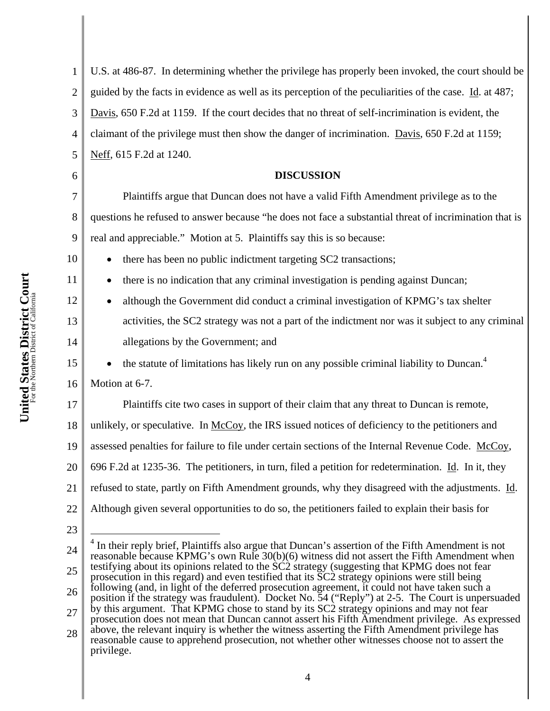1 2 3 4 5 U.S. at 486-87. In determining whether the privilege has properly been invoked, the court should be guided by the facts in evidence as well as its perception of the peculiarities of the case. Id. at 487; Davis, 650 F.2d at 1159. If the court decides that no threat of self-incrimination is evident, the claimant of the privilege must then show the danger of incrimination. Davis, 650 F.2d at 1159; Neff, 615 F.2d at 1240.

## **DISCUSSION**

Plaintiffs argue that Duncan does not have a valid Fifth Amendment privilege as to the questions he refused to answer because "he does not face a substantial threat of incrimination that is real and appreciable." Motion at 5. Plaintiffs say this is so because:

• there has been no public indictment targeting SC2 transactions;

• there is no indication that any criminal investigation is pending against Duncan;

• although the Government did conduct a criminal investigation of KPMG's tax shelter activities, the SC2 strategy was not a part of the indictment nor was it subject to any criminal allegations by the Government; and

• the statute of limitations has likely run on any possible criminal liability to Duncan.4

16 Motion at 6-7.

17 18 19 20 21 22 Plaintiffs cite two cases in support of their claim that any threat to Duncan is remote, unlikely, or speculative. In McCoy, the IRS issued notices of deficiency to the petitioners and assessed penalties for failure to file under certain sections of the Internal Revenue Code. McCoy, 696 F.2d at 1235-36. The petitioners, in turn, filed a petition for redetermination. Id. In it, they refused to state, partly on Fifth Amendment grounds, why they disagreed with the adjustments. Id. Although given several opportunities to do so, the petitioners failed to explain their basis for

23

 $\overline{a}$ 

6

7

8

9

10

11

12

13

14

15

<sup>24</sup> 25 26 27 28  $4$  In their reply brief, Plaintiffs also argue that Duncan's assertion of the Fifth Amendment is not reasonable because KPMG's own Rule 30(b)(6) witness did not assert the Fifth Amendment when testifying about its opinions related to the SC2 strategy (suggesting that KPMG does not fear prosecution in this regard) and even testified that its SC2 strategy opinions were still being following (and, in light of the deferred prosecution agreement, it could not have taken such a position if the strategy was fraudulent). Docket No. 54 ("Reply") at 2-5. The Court is unpersuaded by this argument. That KPMG chose to stand by its SC2 strategy opinions and may not fear prosecution does not mean that Duncan cannot assert his Fifth Amendment privilege. As expressed above, the relevant inquiry is whether the witness asserting the Fifth Amendment privilege has reasonable cause to apprehend prosecution, not whether other witnesses choose not to assert the privilege.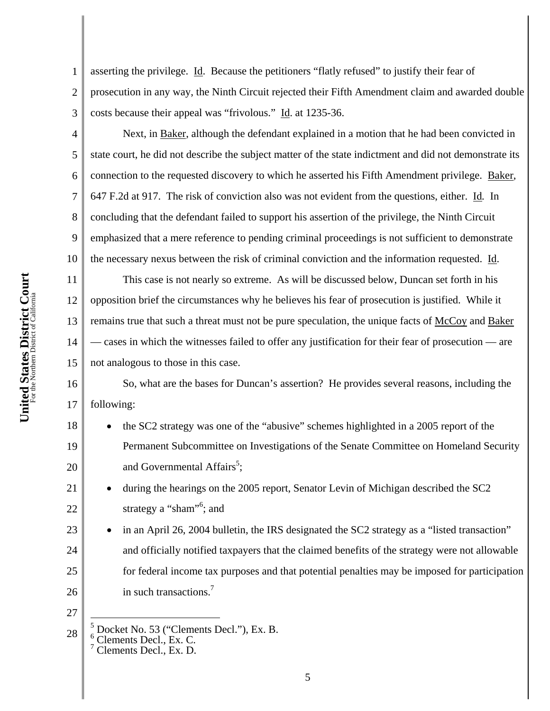1 2 3 asserting the privilege. Id. Because the petitioners "flatly refused" to justify their fear of prosecution in any way, the Ninth Circuit rejected their Fifth Amendment claim and awarded double costs because their appeal was "frivolous." Id. at 1235-36.

Next, in Baker, although the defendant explained in a motion that he had been convicted in state court, he did not describe the subject matter of the state indictment and did not demonstrate its connection to the requested discovery to which he asserted his Fifth Amendment privilege. Baker, 647 F.2d at 917. The risk of conviction also was not evident from the questions, either. Id*.* In concluding that the defendant failed to support his assertion of the privilege, the Ninth Circuit emphasized that a mere reference to pending criminal proceedings is not sufficient to demonstrate the necessary nexus between the risk of criminal conviction and the information requested. Id.

12 13 14 15 This case is not nearly so extreme. As will be discussed below, Duncan set forth in his opposition brief the circumstances why he believes his fear of prosecution is justified. While it remains true that such a threat must not be pure speculation, the unique facts of McCoy and Baker — cases in which the witnesses failed to offer any justification for their fear of prosecution — are not analogous to those in this case.

16 17 So, what are the bases for Duncan's assertion? He provides several reasons, including the following:

- 18 19 20 • the SC2 strategy was one of the "abusive" schemes highlighted in a 2005 report of the Permanent Subcommittee on Investigations of the Senate Committee on Homeland Security and Governmental Affairs<sup>5</sup>;
	- during the hearings on the 2005 report, Senator Levin of Michigan described the SC2 strategy a "sham"<sup>6</sup>; and
- 23 24 25 26 in an April 26, 2004 bulletin, the IRS designated the SC2 strategy as a "listed transaction" and officially notified taxpayers that the claimed benefits of the strategy were not allowable for federal income tax purposes and that potential penalties may be imposed for participation in such transactions.<sup>7</sup>
- 27

21

22

4

5

6

7

8

9

10

11

<sup>28</sup>  $\frac{5}{5}$  Docket No. 53 ("Clements Decl."), Ex. B.<br> $\frac{6}{7}$  Clements Decl., Ex. C.<br>7 Clements Decl., Ex. D.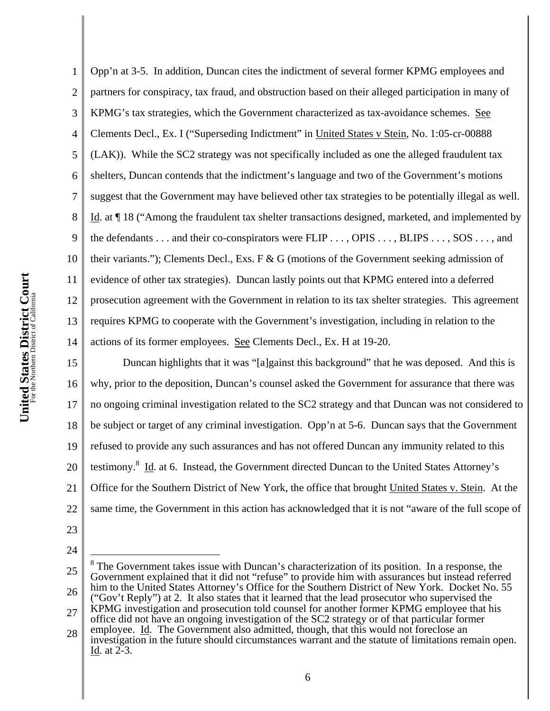1 2 3 4 5 6 7 8 9 Opp'n at 3-5. In addition, Duncan cites the indictment of several former KPMG employees and partners for conspiracy, tax fraud, and obstruction based on their alleged participation in many of KPMG's tax strategies, which the Government characterized as tax-avoidance schemes. See Clements Decl., Ex. I ("Superseding Indictment" in United States v Stein, No. 1:05-cr-00888 (LAK)). While the SC2 strategy was not specifically included as one the alleged fraudulent tax shelters, Duncan contends that the indictment's language and two of the Government's motions suggest that the Government may have believed other tax strategies to be potentially illegal as well. Id. at ¶ 18 ("Among the fraudulent tax shelter transactions designed, marketed, and implemented by the defendants . . . and their co-conspirators were FLIP . . . , OPIS . . . , BLIPS . . . , SOS . . . , and their variants."); Clements Decl., Exs. F & G (motions of the Government seeking admission of evidence of other tax strategies). Duncan lastly points out that KPMG entered into a deferred prosecution agreement with the Government in relation to its tax shelter strategies. This agreement requires KPMG to cooperate with the Government's investigation, including in relation to the actions of its former employees. See Clements Decl., Ex. H at 19-20.

15 16 17 18 19 20 21 22 Duncan highlights that it was "[a]gainst this background" that he was deposed. And this is why, prior to the deposition, Duncan's counsel asked the Government for assurance that there was no ongoing criminal investigation related to the SC2 strategy and that Duncan was not considered to be subject or target of any criminal investigation. Opp'n at 5-6. Duncan says that the Government refused to provide any such assurances and has not offered Duncan any immunity related to this testimony.<sup>8</sup> Id. at 6. Instead, the Government directed Duncan to the United States Attorney's Office for the Southern District of New York, the office that brought United States v. Stein. At the same time, the Government in this action has acknowledged that it is not "aware of the full scope of

- 23
- 24

 $\overline{a}$ 

6

investigation in the future should circumstances warrant and the statute of limitations remain open. Id. at 2-3.

<sup>25</sup> 26 27 28 8 The Government takes issue with Duncan's characterization of its position. In a response, the Government explained that it did not "refuse" to provide him with assurances but instead referred him to the United States Attorney's Office for the Southern District of New York. Docket No. 55 ("Gov't Reply") at 2. It also states that it learned that the lead prosecutor who supervised the KPMG investigation and prosecution told counsel for another former KPMG employee that his office did not have an ongoing investigation of the SC2 strategy or of that particular former employee. Id. The Government also admitted, though, that this would not foreclose an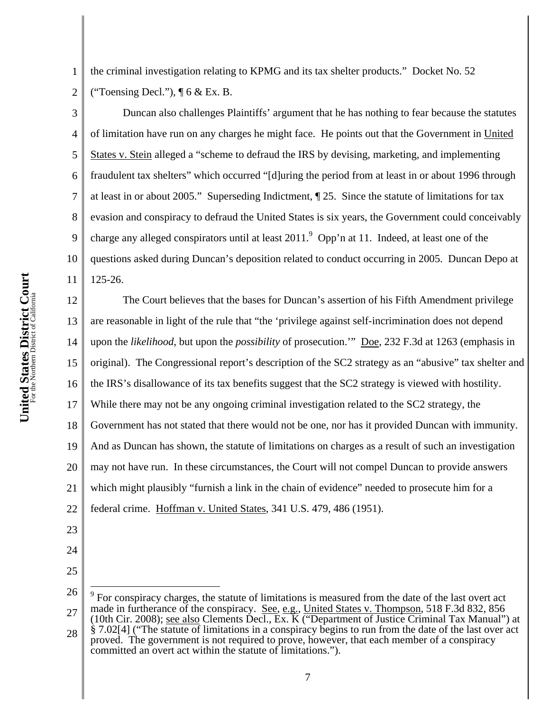1 2 the criminal investigation relating to KPMG and its tax shelter products." Docket No. 52 ("Toensing Decl."),  $\P$  6 & Ex. B.

3

4

5

6

7

8

9

10

11

Duncan also challenges Plaintiffs' argument that he has nothing to fear because the statutes of limitation have run on any charges he might face. He points out that the Government in United States v. Stein alleged a "scheme to defraud the IRS by devising, marketing, and implementing fraudulent tax shelters" which occurred "[d]uring the period from at least in or about 1996 through at least in or about 2005." Superseding Indictment, ¶ 25. Since the statute of limitations for tax evasion and conspiracy to defraud the United States is six years, the Government could conceivably charge any alleged conspirators until at least  $2011$ .  $^9$  Opp'n at 11. Indeed, at least one of the questions asked during Duncan's deposition related to conduct occurring in 2005. Duncan Depo at 125-26.

12 13 14 15 16 17 18 19 20 21 22 The Court believes that the bases for Duncan's assertion of his Fifth Amendment privilege are reasonable in light of the rule that "the 'privilege against self-incrimination does not depend upon the *likelihood*, but upon the *possibility* of prosecution.'" Doe, 232 F.3d at 1263 (emphasis in original). The Congressional report's description of the SC2 strategy as an "abusive" tax shelter and the IRS's disallowance of its tax benefits suggest that the SC2 strategy is viewed with hostility. While there may not be any ongoing criminal investigation related to the SC2 strategy, the Government has not stated that there would not be one, nor has it provided Duncan with immunity. And as Duncan has shown, the statute of limitations on charges as a result of such an investigation may not have run. In these circumstances, the Court will not compel Duncan to provide answers which might plausibly "furnish a link in the chain of evidence" needed to prosecute him for a federal crime. Hoffman v. United States, 341 U.S. 479, 486 (1951).

- 23
- 24
- 25

<sup>26</sup> 27 28  $\overline{a}$  $9^9$  For conspiracy charges, the statute of limitations is measured from the date of the last overt act made in furtherance of the conspiracy. See, e.g., United States v. Thompson, 518 F.3d 832, 856 (10th Cir. 2008); see also Clements Decl., Ex. K ("Department of Justice Criminal Tax Manual") at § 7.02[4] ("The statute of limitations in a conspiracy begins to run from the date of the last over act proved. The government is not required to prove, however, that each member of a conspiracy committed an overt act within the statute of limitations.").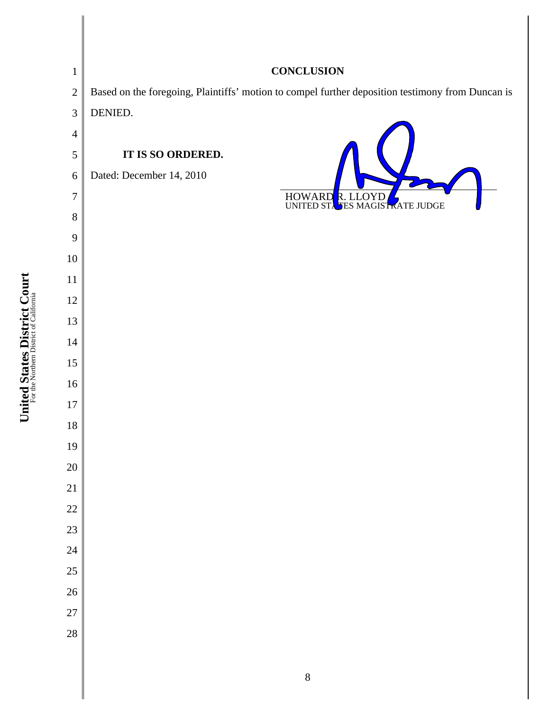| $\mathbf{1}$     | <b>CONCLUSION</b>        |                                                                                                  |
|------------------|--------------------------|--------------------------------------------------------------------------------------------------|
| $\overline{2}$   |                          | Based on the foregoing, Plaintiffs' motion to compel further deposition testimony from Duncan is |
| 3                | DENIED.                  |                                                                                                  |
| $\overline{4}$   |                          |                                                                                                  |
| 5                | IT IS SO ORDERED.        |                                                                                                  |
| $\boldsymbol{6}$ | Dated: December 14, 2010 |                                                                                                  |
| $\overline{7}$   |                          | <b>HOWARD</b><br>R. LLOYD<br><b>SES MAGISTRATE JUDGE</b><br>UNITED STA                           |
| 8                |                          |                                                                                                  |
| 9                |                          |                                                                                                  |
| $10\,$           |                          |                                                                                                  |
| 11               |                          |                                                                                                  |
| 12               |                          |                                                                                                  |
| 13               |                          |                                                                                                  |
| 14               |                          |                                                                                                  |
| 15<br>16         |                          |                                                                                                  |
| 17               |                          |                                                                                                  |
| 18               |                          |                                                                                                  |
| 19               |                          |                                                                                                  |
| $20\,$           |                          |                                                                                                  |
| 21               |                          |                                                                                                  |
| $22\,$           |                          |                                                                                                  |
| $23\,$           |                          |                                                                                                  |
| 24               |                          |                                                                                                  |
| 25               |                          |                                                                                                  |
| 26               |                          |                                                                                                  |
| 27               |                          |                                                                                                  |
| 28               |                          |                                                                                                  |
|                  |                          |                                                                                                  |
|                  |                          |                                                                                                  |

United States District Court **United States District Court** For the Northern District of California